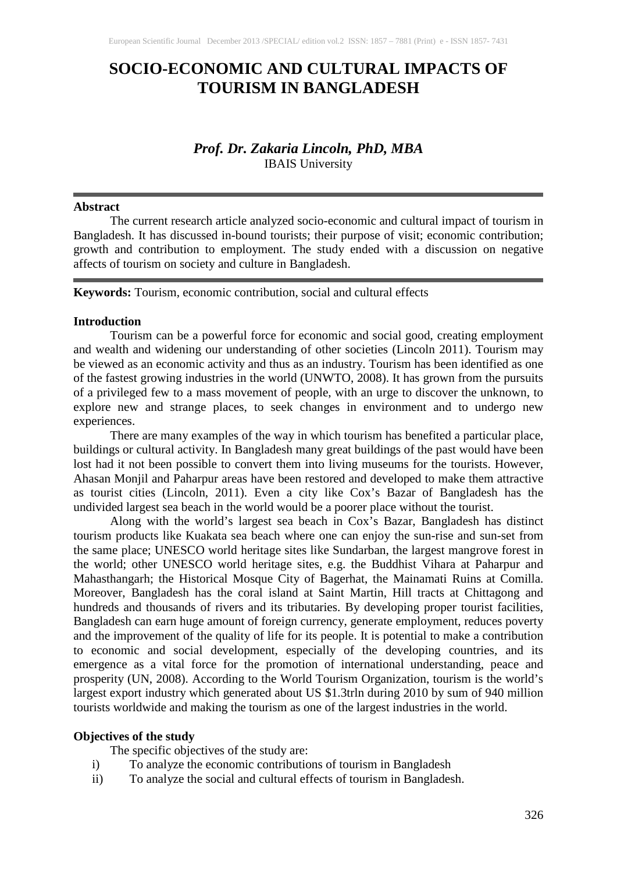# **SOCIO-ECONOMIC AND CULTURAL IMPACTS OF TOURISM IN BANGLADESH**

# *Prof. Dr. Zakaria Lincoln, PhD, MBA* IBAIS University

#### **Abstract**

The current research article analyzed socio-economic and cultural impact of tourism in Bangladesh. It has discussed in-bound tourists; their purpose of visit; economic contribution; growth and contribution to employment. The study ended with a discussion on negative affects of tourism on society and culture in Bangladesh.

**Keywords:** Tourism, economic contribution, social and cultural effects

#### **Introduction**

Tourism can be a powerful force for economic and social good, creating employment and wealth and widening our understanding of other societies (Lincoln 2011). Tourism may be viewed as an economic activity and thus as an industry. Tourism has been identified as one of the fastest growing industries in the world (UNWTO, 2008). It has grown from the pursuits of a privileged few to a mass movement of people, with an urge to discover the unknown, to explore new and strange places, to seek changes in environment and to undergo new experiences.

There are many examples of the way in which tourism has benefited a particular place, buildings or cultural activity. In Bangladesh many great buildings of the past would have been lost had it not been possible to convert them into living museums for the tourists. However, Ahasan Monjil and Paharpur areas have been restored and developed to make them attractive as tourist cities (Lincoln, 2011). Even a city like Cox's Bazar of Bangladesh has the undivided largest sea beach in the world would be a poorer place without the tourist.

Along with the world's largest sea beach in Cox's Bazar, Bangladesh has distinct tourism products like Kuakata sea beach where one can enjoy the sun-rise and sun-set from the same place; UNESCO world heritage sites like Sundarban, the largest mangrove forest in the world; other UNESCO world heritage sites, e.g. the Buddhist Vihara at Paharpur and Mahasthangarh; the Historical Mosque City of Bagerhat, the Mainamati Ruins at Comilla. Moreover, Bangladesh has the coral island at Saint Martin, Hill tracts at Chittagong and hundreds and thousands of rivers and its tributaries. By developing proper tourist facilities, Bangladesh can earn huge amount of foreign currency, generate employment, reduces poverty and the improvement of the quality of life for its people. It is potential to make a contribution to economic and social development, especially of the developing countries, and its emergence as a vital force for the promotion of international understanding, peace and prosperity (UN, 2008). According to the World Tourism Organization, tourism is the world's largest export industry which generated about US \$1.3trln during 2010 by sum of 940 million tourists worldwide and making the tourism as one of the largest industries in the world.

#### **Objectives of the study**

The specific objectives of the study are:

- i) To analyze the economic contributions of tourism in Bangladesh
- ii) To analyze the social and cultural effects of tourism in Bangladesh.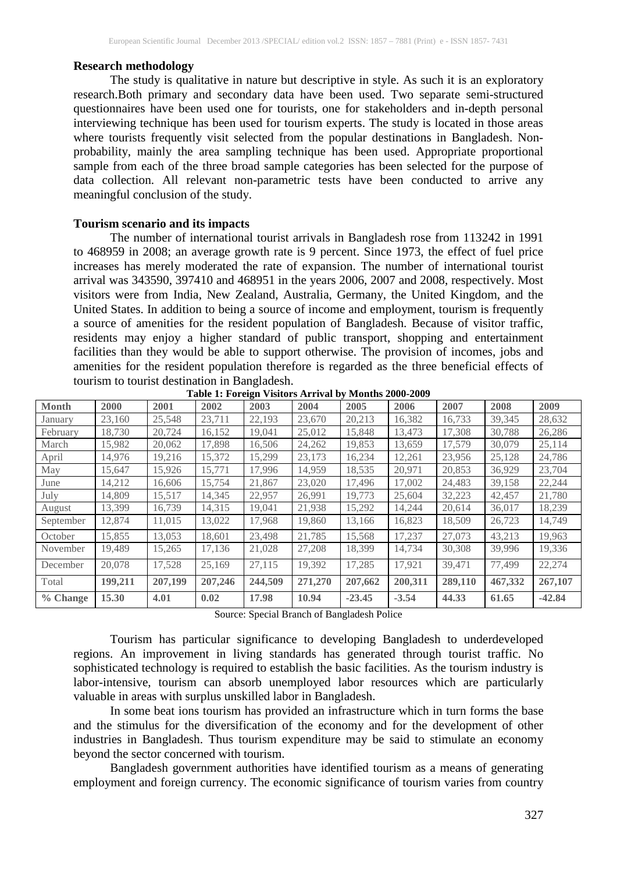### **Research methodology**

The study is qualitative in nature but descriptive in style. As such it is an exploratory research.Both primary and secondary data have been used. Two separate semi-structured questionnaires have been used one for tourists, one for stakeholders and in-depth personal interviewing technique has been used for tourism experts. The study is located in those areas where tourists frequently visit selected from the popular destinations in Bangladesh. Nonprobability, mainly the area sampling technique has been used. Appropriate proportional sample from each of the three broad sample categories has been selected for the purpose of data collection. All relevant non-parametric tests have been conducted to arrive any meaningful conclusion of the study.

### **Tourism scenario and its impacts**

The number of international tourist arrivals in Bangladesh rose from 113242 in 1991 to 468959 in 2008; an average growth rate is 9 percent. Since 1973, the effect of fuel price increases has merely moderated the rate of expansion. The number of international tourist arrival was 343590, 397410 and 468951 in the years 2006, 2007 and 2008, respectively. Most visitors were from India, New Zealand, Australia, Germany, the United Kingdom, and the United States. In addition to being a source of income and employment, tourism is frequently a source of amenities for the resident population of Bangladesh. Because of visitor traffic, residents may enjoy a higher standard of public transport, shopping and entertainment facilities than they would be able to support otherwise. The provision of incomes, jobs and amenities for the resident population therefore is regarded as the three beneficial effects of tourism to tourist destination in Bangladesh.

| <b>Month</b> | 2000    | 2001    | Table 1. Foreign visitors inflivation infolling 2000-2002<br>2002 | 2003    | 2004    | 2005     | 2006    | 2007    | 2008    | 2009     |
|--------------|---------|---------|-------------------------------------------------------------------|---------|---------|----------|---------|---------|---------|----------|
| January      | 23,160  | 25,548  | 23,711                                                            | 22,193  | 23,670  | 20,213   | 16,382  | 16,733  | 39,345  | 28,632   |
| February     | 18.730  | 20,724  | 16,152                                                            | 19,041  | 25,012  | 15,848   | 13,473  | 17,308  | 30,788  | 26,286   |
| March        | 15,982  | 20,062  | 17,898                                                            | 16,506  | 24,262  | 19,853   | 13,659  | 17,579  | 30,079  | 25,114   |
| April        | 14,976  | 19,216  | 15,372                                                            | 15,299  | 23,173  | 16,234   | 12,261  | 23,956  | 25,128  | 24,786   |
| May          | 15,647  | 15,926  | 15,771                                                            | 17,996  | 14,959  | 18,535   | 20,971  | 20,853  | 36,929  | 23,704   |
| June         | 14,212  | 16,606  | 15,754                                                            | 21,867  | 23,020  | 17,496   | 17,002  | 24,483  | 39,158  | 22,244   |
| July         | 14,809  | 15,517  | 14,345                                                            | 22,957  | 26,991  | 19,773   | 25,604  | 32,223  | 42,457  | 21,780   |
| August       | 13,399  | 16,739  | 14,315                                                            | 19,041  | 21,938  | 15,292   | 14,244  | 20,614  | 36,017  | 18,239   |
| September    | 12,874  | 11,015  | 13,022                                                            | 17,968  | 19,860  | 13,166   | 16,823  | 18,509  | 26,723  | 14,749   |
| October      | 15,855  | 13,053  | 18,601                                                            | 23,498  | 21,785  | 15,568   | 17,237  | 27,073  | 43,213  | 19,963   |
| November     | 19,489  | 15,265  | 17,136                                                            | 21,028  | 27,208  | 18,399   | 14,734  | 30,308  | 39,996  | 19,336   |
| December     | 20,078  | 17,528  | 25,169                                                            | 27,115  | 19,392  | 17,285   | 17,921  | 39.471  | 77,499  | 22,274   |
| Total        | 199,211 | 207,199 | 207,246                                                           | 244,509 | 271,270 | 207,662  | 200,311 | 289,110 | 467,332 | 267,107  |
| $%$ Change   | 15.30   | 4.01    | 0.02                                                              | 17.98   | 10.94   | $-23.45$ | $-3.54$ | 44.33   | 61.65   | $-42.84$ |

**Table 1: Foreign Visitors Arrival by Months 2000-2009**

Source: Special Branch of Bangladesh Police

Tourism has particular significance to developing Bangladesh to underdeveloped regions. An improvement in living standards has generated through tourist traffic. No sophisticated technology is required to establish the basic facilities. As the tourism industry is labor-intensive, tourism can absorb unemployed labor resources which are particularly valuable in areas with surplus unskilled labor in Bangladesh.

In some beat ions tourism has provided an infrastructure which in turn forms the base and the stimulus for the diversification of the economy and for the development of other industries in Bangladesh. Thus tourism expenditure may be said to stimulate an economy beyond the sector concerned with tourism.

Bangladesh government authorities have identified tourism as a means of generating employment and foreign currency. The economic significance of tourism varies from country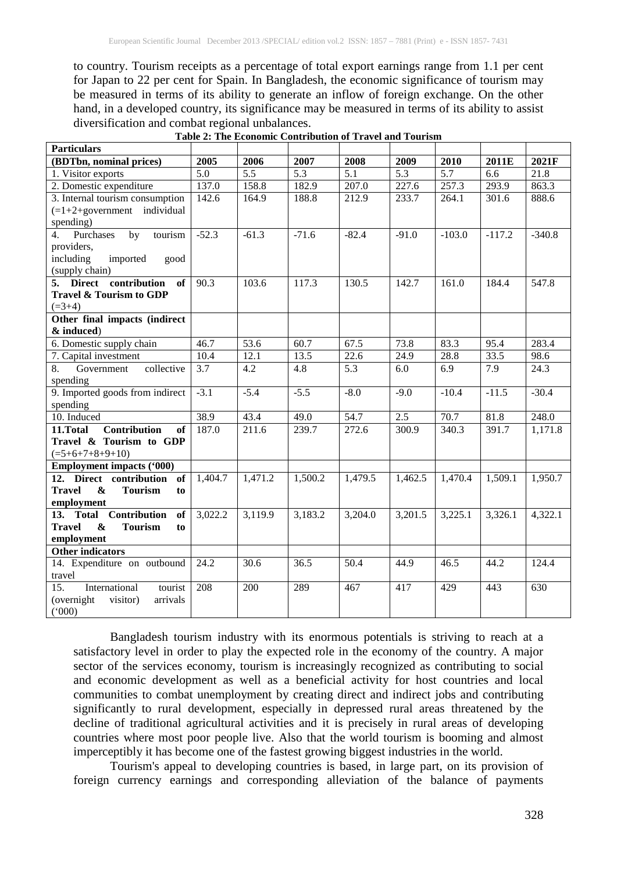to country. Tourism receipts as a percentage of total export earnings range from 1.1 per cent for Japan to 22 per cent for Spain. In Bangladesh, the economic significance of tourism may be measured in terms of its ability to generate an inflow of foreign exchange. On the other hand, in a developed country, its significance may be measured in terms of its ability to assist diversification and combat regional unbalances.

| <b>Particulars</b>                                             |                  |                  |                  |                   |                  |                  |          |          |
|----------------------------------------------------------------|------------------|------------------|------------------|-------------------|------------------|------------------|----------|----------|
| (BDTbn, nominal prices)                                        | 2005             | 2006             | 2007             | 2008              | 2009             | 2010             | 2011E    | 2021F    |
| 1. Visitor exports                                             | $\overline{5.0}$ | $\overline{5.5}$ | $\overline{5.3}$ | $\overline{5.1}$  | $\overline{5.3}$ | $\overline{5.7}$ | 6.6      | 21.8     |
| 2. Domestic expenditure                                        | 137.0            | 158.8            | 182.9            | 207.0             | 227.6            | 257.3            | 293.9    | 863.3    |
| 3. Internal tourism consumption                                | 142.6            | 164.9            | 188.8            | 212.9             | 233.7            | 264.1            | 301.6    | 888.6    |
| $(=1+2+goverm)$ individual                                     |                  |                  |                  |                   |                  |                  |          |          |
| spending)                                                      |                  |                  |                  |                   |                  |                  |          |          |
| Purchases<br>4.<br>by<br>tourism                               | $-52.3$          | $-61.3$          | $-71.6$          | $-82.4$           | $-91.0$          | $-103.0$         | $-117.2$ | $-340.8$ |
| providers,                                                     |                  |                  |                  |                   |                  |                  |          |          |
| including<br>imported<br>good                                  |                  |                  |                  |                   |                  |                  |          |          |
| (supply chain)                                                 |                  |                  |                  |                   |                  |                  |          |          |
| 5. Direct contribution<br>of                                   | 90.3             | 103.6            | 117.3            | 130.5             | 142.7            | 161.0            | 184.4    | 547.8    |
| Travel & Tourism to GDP                                        |                  |                  |                  |                   |                  |                  |          |          |
| $(=3+4)$                                                       |                  |                  |                  |                   |                  |                  |          |          |
| Other final impacts (indirect                                  |                  |                  |                  |                   |                  |                  |          |          |
| & induced)                                                     |                  |                  |                  |                   |                  |                  |          |          |
| 6. Domestic supply chain                                       | 46.7             | 53.6             | 60.7             | 67.5              | 73.8             | 83.3             | 95.4     | 283.4    |
| 7. Capital investment                                          | 10.4             | 12.1             | 13.5             | $\overline{22.6}$ | 24.9             | 28.8             | 33.5     | 98.6     |
| collective<br>8.<br>Government                                 | 3.7              | 4.2              | 4.8              | 5.3               | 6.0              | 6.9              | 7.9      | 24.3     |
| spending                                                       |                  |                  |                  |                   |                  |                  |          |          |
| 9. Imported goods from indirect                                | $-3.1$           | $-5.4$           | $-5.5$           | $-8.0$            | $-9.0$           | $-10.4$          | $-11.5$  | $-30.4$  |
| spending                                                       |                  |                  |                  |                   |                  |                  |          |          |
| 10. Induced                                                    | 38.9             | 43.4             | 49.0             | 54.7              | 2.5              | 70.7             | 81.8     | 248.0    |
| <b>Contribution</b><br>11.Total<br>of                          | 187.0            | 211.6            | 239.7            | 272.6             | 300.9            | 340.3            | 391.7    | 1,171.8  |
| Travel & Tourism to GDP                                        |                  |                  |                  |                   |                  |                  |          |          |
| $( = 5 + 6 + 7 + 8 + 9 + 10)$                                  |                  |                  |                  |                   |                  |                  |          |          |
| <b>Employment impacts ('000)</b>                               |                  |                  |                  |                   |                  |                  |          |          |
| 12. Direct contribution of                                     | 1,404.7          | 1,471.2          | 1,500.2          | 1,479.5           | 1,462.5          | 1,470.4          | 1,509.1  | 1,950.7  |
| <b>Travel</b><br>$\boldsymbol{\&}$<br><b>Tourism</b><br>to     |                  |                  |                  |                   |                  |                  |          |          |
| employment                                                     |                  |                  |                  |                   |                  |                  |          |          |
| 13. Total Contribution<br>of                                   | 3,022.2          | 3,119.9          | 3,183.2          | 3,204.0           | 3,201.5          | 3,225.1          | 3,326.1  | 4,322.1  |
| <b>Travel</b><br>$\boldsymbol{\alpha}$<br><b>Tourism</b><br>to |                  |                  |                  |                   |                  |                  |          |          |
| employment                                                     |                  |                  |                  |                   |                  |                  |          |          |
| <b>Other indicators</b>                                        |                  |                  |                  |                   |                  |                  |          |          |
| 14. Expenditure on outbound                                    | 24.2             | 30.6             | 36.5             | $\overline{50.4}$ | 44.9             | 46.5             | 44.2     | 124.4    |
| travel                                                         |                  |                  |                  |                   |                  |                  |          |          |
| International<br>tourist<br>15.                                | 208              | 200              | 289              | 467               | 417              | 429              | 443      | 630      |
| (overnight<br>visitor)<br>arrivals                             |                  |                  |                  |                   |                  |                  |          |          |
| (000)                                                          |                  |                  |                  |                   |                  |                  |          |          |

**Table 2: The Economic Contribution of Travel and Tourism**

Bangladesh tourism industry with its enormous potentials is striving to reach at a satisfactory level in order to play the expected role in the economy of the country. A major sector of the services economy, tourism is increasingly recognized as contributing to social and economic development as well as a beneficial activity for host countries and local communities to combat unemployment by creating direct and indirect jobs and contributing significantly to rural development, especially in depressed rural areas threatened by the decline of traditional agricultural activities and it is precisely in rural areas of developing countries where most poor people live. Also that the world tourism is booming and almost imperceptibly it has become one of the fastest growing biggest industries in the world.

Tourism's appeal to developing countries is based, in large part, on its provision of foreign currency earnings and corresponding alleviation of the balance of payments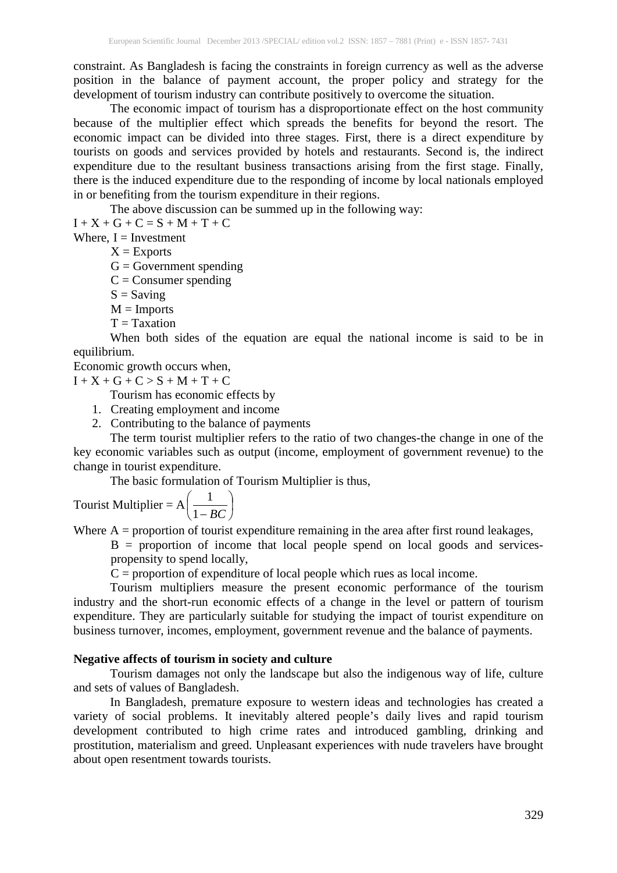constraint. As Bangladesh is facing the constraints in foreign currency as well as the adverse position in the balance of payment account, the proper policy and strategy for the development of tourism industry can contribute positively to overcome the situation.

The economic impact of tourism has a disproportionate effect on the host community because of the multiplier effect which spreads the benefits for beyond the resort. The economic impact can be divided into three stages. First, there is a direct expenditure by tourists on goods and services provided by hotels and restaurants. Second is, the indirect expenditure due to the resultant business transactions arising from the first stage. Finally, there is the induced expenditure due to the responding of income by local nationals employed in or benefiting from the tourism expenditure in their regions.

The above discussion can be summed up in the following way:

 $I + X + G + C = S + M + T + C$ 

Where,  $I =$  Investment

 $X =$ Exports

 $G = Government$  spending

 $C =$ Consumer spending

 $S =$  Saving

- $M =$ Imports
- $T = Taxation$

When both sides of the equation are equal the national income is said to be in equilibrium.

Economic growth occurs when,

 $I + X + G + C > S + M + T + C$ 

Tourism has economic effects by

- 1. Creating employment and income
- 2. Contributing to the balance of payments

The term tourist multiplier refers to the ratio of two changes-the change in one of the key economic variables such as output (income, employment of government revenue) to the change in tourist expenditure.

The basic formulation of Tourism Multiplier is thus,

Tourist Multiplier = 
$$
A\left(\frac{1}{1 - BC}\right)
$$

Where  $A =$  proportion of tourist expenditure remaining in the area after first round leakages,

 $B =$  proportion of income that local people spend on local goods and servicespropensity to spend locally,

 $C =$  proportion of expenditure of local people which rues as local income.

Tourism multipliers measure the present economic performance of the tourism industry and the short-run economic effects of a change in the level or pattern of tourism expenditure. They are particularly suitable for studying the impact of tourist expenditure on business turnover, incomes, employment, government revenue and the balance of payments.

### **Negative affects of tourism in society and culture**

Tourism damages not only the landscape but also the indigenous way of life, culture and sets of values of Bangladesh.

In Bangladesh, premature exposure to western ideas and technologies has created a variety of social problems. It inevitably altered people's daily lives and rapid tourism development contributed to high crime rates and introduced gambling, drinking and prostitution, materialism and greed. Unpleasant experiences with nude travelers have brought about open resentment towards tourists.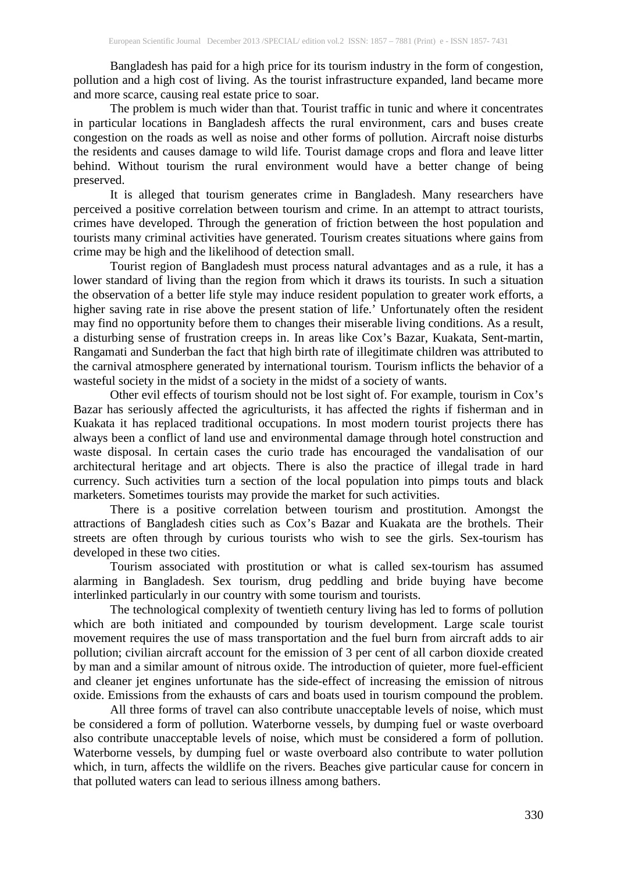Bangladesh has paid for a high price for its tourism industry in the form of congestion, pollution and a high cost of living. As the tourist infrastructure expanded, land became more and more scarce, causing real estate price to soar.

The problem is much wider than that. Tourist traffic in tunic and where it concentrates in particular locations in Bangladesh affects the rural environment, cars and buses create congestion on the roads as well as noise and other forms of pollution. Aircraft noise disturbs the residents and causes damage to wild life. Tourist damage crops and flora and leave litter behind. Without tourism the rural environment would have a better change of being preserved.

It is alleged that tourism generates crime in Bangladesh. Many researchers have perceived a positive correlation between tourism and crime. In an attempt to attract tourists, crimes have developed. Through the generation of friction between the host population and tourists many criminal activities have generated. Tourism creates situations where gains from crime may be high and the likelihood of detection small.

Tourist region of Bangladesh must process natural advantages and as a rule, it has a lower standard of living than the region from which it draws its tourists. In such a situation the observation of a better life style may induce resident population to greater work efforts, a higher saving rate in rise above the present station of life.' Unfortunately often the resident may find no opportunity before them to changes their miserable living conditions. As a result, a disturbing sense of frustration creeps in. In areas like Cox's Bazar, Kuakata, Sent-martin, Rangamati and Sunderban the fact that high birth rate of illegitimate children was attributed to the carnival atmosphere generated by international tourism. Tourism inflicts the behavior of a wasteful society in the midst of a society in the midst of a society of wants.

Other evil effects of tourism should not be lost sight of. For example, tourism in Cox's Bazar has seriously affected the agriculturists, it has affected the rights if fisherman and in Kuakata it has replaced traditional occupations. In most modern tourist projects there has always been a conflict of land use and environmental damage through hotel construction and waste disposal. In certain cases the curio trade has encouraged the vandalisation of our architectural heritage and art objects. There is also the practice of illegal trade in hard currency. Such activities turn a section of the local population into pimps touts and black marketers. Sometimes tourists may provide the market for such activities.

There is a positive correlation between tourism and prostitution. Amongst the attractions of Bangladesh cities such as Cox's Bazar and Kuakata are the brothels. Their streets are often through by curious tourists who wish to see the girls. Sex-tourism has developed in these two cities.

Tourism associated with prostitution or what is called sex-tourism has assumed alarming in Bangladesh. Sex tourism, drug peddling and bride buying have become interlinked particularly in our country with some tourism and tourists.

The technological complexity of twentieth century living has led to forms of pollution which are both initiated and compounded by tourism development. Large scale tourist movement requires the use of mass transportation and the fuel burn from aircraft adds to air pollution; civilian aircraft account for the emission of 3 per cent of all carbon dioxide created by man and a similar amount of nitrous oxide. The introduction of quieter, more fuel-efficient and cleaner jet engines unfortunate has the side-effect of increasing the emission of nitrous oxide. Emissions from the exhausts of cars and boats used in tourism compound the problem.

All three forms of travel can also contribute unacceptable levels of noise, which must be considered a form of pollution. Waterborne vessels, by dumping fuel or waste overboard also contribute unacceptable levels of noise, which must be considered a form of pollution. Waterborne vessels, by dumping fuel or waste overboard also contribute to water pollution which, in turn, affects the wildlife on the rivers. Beaches give particular cause for concern in that polluted waters can lead to serious illness among bathers.